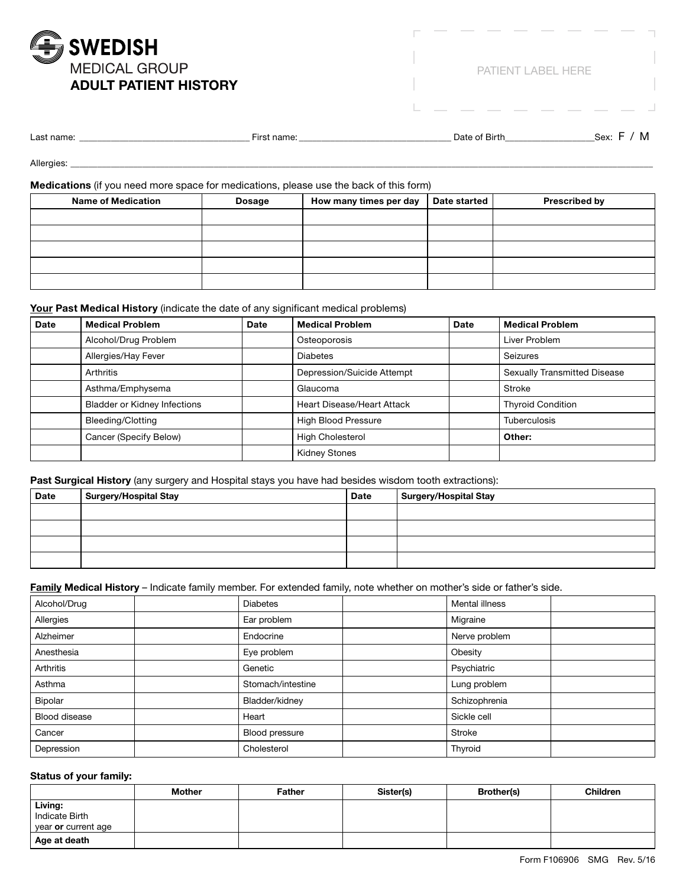

PATIENT LABEL HERE

| Last name: | чане. | Date<br>of Birth. | Sex: |  | M |
|------------|-------|-------------------|------|--|---|
|            |       |                   |      |  |   |

Allergies: \_\_\_\_\_\_\_\_\_\_\_\_\_\_\_\_\_\_\_\_\_\_\_\_\_\_\_\_\_\_\_\_\_\_\_\_\_\_\_\_\_\_\_\_\_\_\_\_\_\_\_\_\_\_\_\_\_\_\_\_\_\_\_\_\_\_\_\_\_\_\_\_\_\_\_\_\_\_\_\_\_\_\_\_\_\_\_\_\_\_\_\_\_\_\_\_\_\_\_\_\_\_\_\_\_\_\_\_\_\_\_\_\_\_\_\_\_\_\_\_\_\_\_\_\_\_\_\_\_\_

# **Medications** (if you need more space for medications, please use the back of this form)

| <b>Name of Medication</b> | <b>Dosage</b> | How many times per day | Date started | <b>Prescribed by</b> |
|---------------------------|---------------|------------------------|--------------|----------------------|
|                           |               |                        |              |                      |
|                           |               |                        |              |                      |
|                           |               |                        |              |                      |
|                           |               |                        |              |                      |
|                           |               |                        |              |                      |

# **Your Past Medical History** (indicate the date of any significant medical problems)

| <b>Date</b> | <b>Medical Problem</b>              | <b>Date</b> | <b>Medical Problem</b>            | <b>Date</b> | <b>Medical Problem</b>              |
|-------------|-------------------------------------|-------------|-----------------------------------|-------------|-------------------------------------|
|             | Alcohol/Drug Problem                |             | Osteoporosis                      |             | Liver Problem                       |
|             | Allergies/Hay Fever                 |             | <b>Diabetes</b>                   |             | Seizures                            |
|             | Arthritis                           |             | Depression/Suicide Attempt        |             | <b>Sexually Transmitted Disease</b> |
|             | Asthma/Emphysema                    |             | Glaucoma                          |             | Stroke                              |
|             | <b>Bladder or Kidney Infections</b> |             | <b>Heart Disease/Heart Attack</b> |             | <b>Thyroid Condition</b>            |
|             | Bleeding/Clotting                   |             | <b>High Blood Pressure</b>        |             | <b>Tuberculosis</b>                 |
|             | Cancer (Specify Below)              |             | <b>High Cholesterol</b>           |             | Other:                              |
|             |                                     |             | <b>Kidney Stones</b>              |             |                                     |

## **Past Surgical History** (any surgery and Hospital stays you have had besides wisdom tooth extractions):

| <b>Date</b> | Surgery/Hospital Stay | <b>Date</b> | Surgery/Hospital Stay |
|-------------|-----------------------|-------------|-----------------------|
|             |                       |             |                       |
|             |                       |             |                       |
|             |                       |             |                       |
|             |                       |             |                       |

#### **Family Medical History** – Indicate family member. For extended family, note whether on mother's side or father's side.

| Alcohol/Drug         | <b>Diabetes</b>   | Mental illness |  |
|----------------------|-------------------|----------------|--|
| Allergies            | Ear problem       | Migraine       |  |
| Alzheimer            | Endocrine         | Nerve problem  |  |
| Anesthesia           | Eye problem       | Obesity        |  |
| Arthritis            | Genetic           | Psychiatric    |  |
| Asthma               | Stomach/intestine | Lung problem   |  |
| Bipolar              | Bladder/kidney    | Schizophrenia  |  |
| <b>Blood disease</b> | Heart             | Sickle cell    |  |
| Cancer               | Blood pressure    | Stroke         |  |
| Depression           | Cholesterol       | Thyroid        |  |

## **Status of your family:**

|                            | <b>Mother</b> | <b>Father</b> | Sister(s) | <b>Brother(s)</b> | <b>Children</b> |
|----------------------------|---------------|---------------|-----------|-------------------|-----------------|
| Living:                    |               |               |           |                   |                 |
| <b>Indicate Birth</b>      |               |               |           |                   |                 |
| year <b>or</b> current age |               |               |           |                   |                 |
| Age at death               |               |               |           |                   |                 |